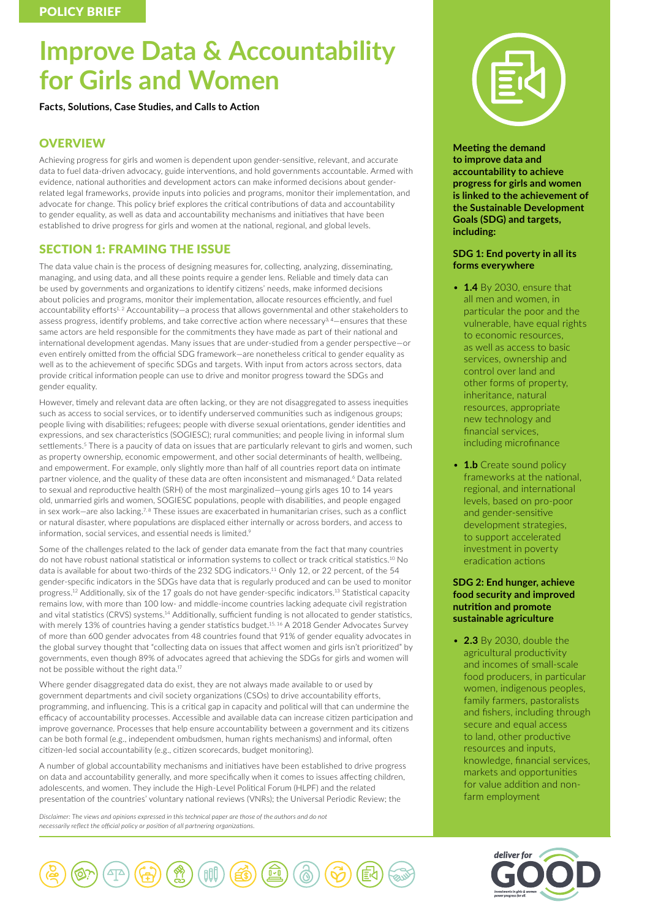# **Improve Data & Accountability for Girls and Women**

**Facts, Solutions, Case Studies, and Calls to Action**

# **OVERVIEW**

Achieving progress for girls and women is dependent upon gender-sensitive, relevant, and accurate data to fuel data-driven advocacy, guide interventions, and hold governments accountable. Armed with evidence, national authorities and development actors can make informed decisions about genderrelated legal frameworks, provide inputs into policies and programs, monitor their implementation, and advocate for change. This policy brief explores the critical contributions of data and accountability to gender equality, as well as data and accountability mechanisms and initiatives that have been established to drive progress for girls and women at the national, regional, and global levels.

# SECTION 1: FRAMING THE ISSUE

The data value chain is the process of designing measures for, collecting, analyzing, disseminating, managing, and using data, and all these points require a gender lens. Reliable and timely data can be used by governments and organizations to identify citizens' needs, make informed decisions about policies and programs, monitor their implementation, allocate resources efficiently, and fuel accountability efforts<sup>1,2</sup> Accountability-a process that allows governmental and other stakeholders to assess progress, identify problems, and take corrective action where necessary3, 4—ensures that these same actors are held responsible for the commitments they have made as part of their national and international development agendas. Many issues that are under-studied from a gender perspective—or even entirely omitted from the official SDG framework—are nonetheless critical to gender equality as well as to the achievement of specific SDGs and targets. With input from actors across sectors, data provide critical information people can use to drive and monitor progress toward the SDGs and gender equality.

However, timely and relevant data are often lacking, or they are not disaggregated to assess inequities such as access to social services, or to identify underserved communities such as indigenous groups; people living with disabilities; refugees; people with diverse sexual orientations, gender identities and expressions, and sex characteristics (SOGIESC); rural communities; and people living in informal slum settlements.<sup>5</sup> There is a paucity of data on issues that are particularly relevant to girls and women, such as property ownership, economic empowerment, and other social determinants of health, wellbeing, and empowerment. For example, only slightly more than half of all countries report data on intimate partner violence, and the quality of these data are often inconsistent and mismanaged.<sup>6</sup> Data related to sexual and reproductive health (SRH) of the most marginalized—young girls ages 10 to 14 years old, unmarried girls and women, SOGIESC populations, people with disabilities, and people engaged in sex work—are also lacking.<sup>7, 8</sup> These issues are exacerbated in humanitarian crises, such as a conflict or natural disaster, where populations are displaced either internally or across borders, and access to information, social services, and essential needs is limited.<sup>9</sup>

Some of the challenges related to the lack of gender data emanate from the fact that many countries do not have robust national statistical or information systems to collect or track critical statistics.10 No data is available for about two-thirds of the 232 SDG indicators.<sup>11</sup> Only 12, or 22 percent, of the 54 gender-specific indicators in the SDGs have data that is regularly produced and can be used to monitor progress.12 Additionally, six of the 17 goals do not have gender-specific indicators.13 Statistical capacity remains low, with more than 100 low- and middle-income countries lacking adequate civil registration and vital statistics (CRVS) systems.<sup>14</sup> Additionally, sufficient funding is not allocated to gender statistics, with merely 13% of countries having a gender statistics budget.<sup>15, 16</sup> A 2018 Gender Advocates Survey of more than 600 gender advocates from 48 countries found that 91% of gender equality advocates in the global survey thought that "collecting data on issues that affect women and girls isn't prioritized" by governments, even though 89% of advocates agreed that achieving the SDGs for girls and women will not be possible without the right data.<sup>17</sup>

Where gender disaggregated data do exist, they are not always made available to or used by government departments and civil society organizations (CSOs) to drive accountability efforts, programming, and influencing. This is a critical gap in capacity and political will that can undermine the efficacy of accountability processes. Accessible and available data can increase citizen participation and improve governance. Processes that help ensure accountability between a government and its citizens can be both formal (e.g., independent ombudsmen, human rights mechanisms) and informal, often citizen-led social accountability (e.g., citizen scorecards, budget monitoring).

A number of global accountability mechanisms and initiatives have been established to drive progress on data and accountability generally, and more specifically when it comes to issues affecting children, adolescents, and women. They include the High-Level Political Forum (HLPF) and the related presentation of the countries' voluntary national reviews (VNRs); the Universal Periodic Review; the

*Disclaimer: The views and opinions expressed in this technical paper are those of the authors and do not necessarily reflect the official policy or position of all partnering organizations.*



**Meeting the demand to improve data and accountability to achieve progress for girls and women is linked to the achievement of the Sustainable Development Goals (SDG) and targets, including:**

## **SDG 1: End poverty in all its forms everywhere**

- **1.4** By 2030, ensure that all men and women, in particular the poor and the vulnerable, have equal rights to economic resources, as well as access to basic services, ownership and control over land and other forms of property, inheritance, natural resources, appropriate new technology and financial services, including microfinance
- **1.b** Create sound policy frameworks at the national, regional, and international levels, based on pro-poor and gender-sensitive development strategies, to support accelerated investment in poverty eradication actions

# **SDG 2: End hunger, achieve food security and improved nutrition and promote sustainable agriculture**

• **2.3** By 2030, double the agricultural productivity and incomes of small-scale food producers, in particular women, indigenous peoples, family farmers, pastoralists and fishers, including through secure and equal access to land, other productive resources and inputs, knowledge, financial services, markets and opportunities for value addition and nonfarm employment



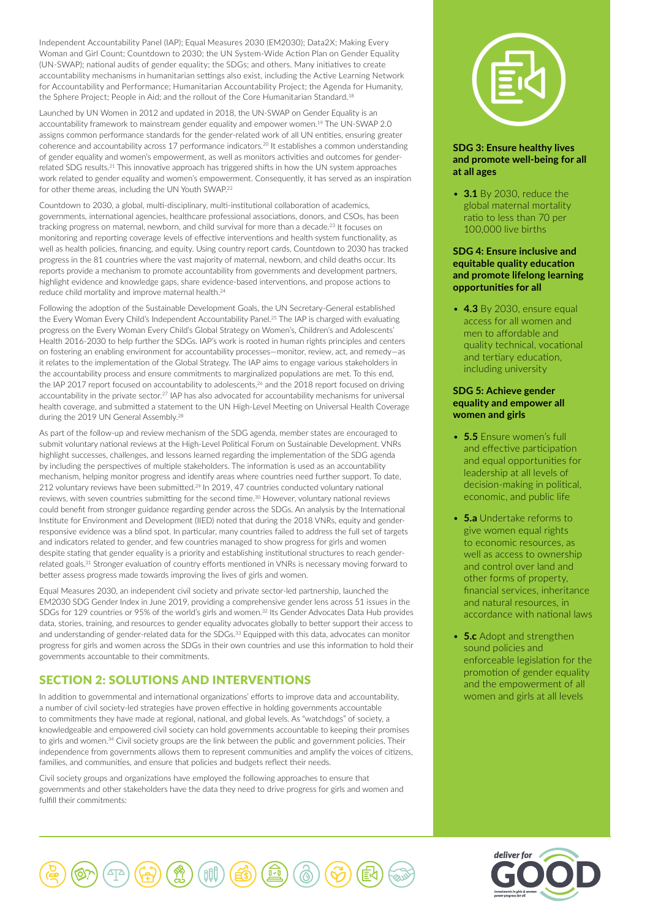Independent Accountability Panel (IAP); Equal Measures 2030 (EM2030); Data2X; Making Every Woman and Girl Count; Countdown to 2030; the UN System-Wide Action Plan on Gender Equality (UN-SWAP); national audits of gender equality; the SDGs; and others. Many initiatives to create accountability mechanisms in humanitarian settings also exist, including the Active Learning Network for Accountability and Performance; Humanitarian Accountability Project; the Agenda for Humanity, the Sphere Project; People in Aid; and the rollout of the Core Humanitarian Standard.18

Launched by UN Women in 2012 and updated in 2018, the UN-SWAP on Gender Equality is an accountability framework to mainstream gender equality and empower women.<sup>19</sup> The UN-SWAP 2.0 assigns common performance standards for the gender-related work of all UN entities, ensuring greater coherence and accountability across 17 performance indicators.20 It establishes a common understanding of gender equality and women's empowerment, as well as monitors activities and outcomes for genderrelated SDG results.21 This innovative approach has triggered shifts in how the UN system approaches work related to gender equality and women's empowerment. Consequently, it has served as an inspiration for other theme areas, including the UN Youth SWAP.<sup>22</sup>

Countdown to 2030, a global, multi-disciplinary, multi-institutional collaboration of academics, governments, international agencies, healthcare professional associations, donors, and CSOs, has been tracking progress on maternal, newborn, and child survival for more than a decade.23 It focuses on monitoring and reporting coverage levels of effective interventions and health system functionality, as well as health policies, financing, and equity. Using country report cards, Countdown to 2030 has tracked progress in the 81 countries where the vast majority of maternal, newborn, and child deaths occur. Its reports provide a mechanism to promote accountability from governments and development partners, highlight evidence and knowledge gaps, share evidence-based interventions, and propose actions to reduce child mortality and improve maternal health. 24

Following the adoption of the Sustainable Development Goals, the UN Secretary-General established the Every Woman Every Child's Independent Accountability Panel.25 The IAP is charged with evaluating progress on the Every Woman Every Child's Global Strategy on Women's, Children's and Adolescents' Health 2016-2030 to help further the SDGs. IAP's work is rooted in human rights principles and centers on fostering an enabling environment for accountability processes—monitor, review, act, and remedy—as it relates to the implementation of the Global Strategy. The IAP aims to engage various stakeholders in the accountability process and ensure commitments to marginalized populations are met. To this end, the IAP 2017 report focused on accountability to adolescents,<sup>26</sup> and the 2018 report focused on driving accountability in the private sector.<sup>27</sup> IAP has also advocated for accountability mechanisms for universal health coverage, and submitted a statement to the UN High-Level Meeting on Universal Health Coverage during the 2019 UN General Assembly.<sup>28</sup>

As part of the follow-up and review mechanism of the SDG agenda, member states are encouraged to submit voluntary national reviews at the High-Level Political Forum on Sustainable Development. VNRs highlight successes, challenges, and lessons learned regarding the implementation of the SDG agenda by including the perspectives of multiple stakeholders. The information is used as an accountability mechanism, helping monitor progress and identify areas where countries need further support. To date, 212 voluntary reviews have been submitted.<sup>29</sup> In 2019, 47 countries conducted voluntary national reviews, with seven countries submitting for the second time.<sup>30</sup> However, voluntary national reviews could benefit from stronger guidance regarding gender across the SDGs. An analysis by the International Institute for Environment and Development (IIED) noted that during the 2018 VNRs, equity and genderresponsive evidence was a blind spot. In particular, many countries failed to address the full set of targets and indicators related to gender, and few countries managed to show progress for girls and women despite stating that gender equality is a priority and establishing institutional structures to reach genderrelated goals.31 Stronger evaluation of country efforts mentioned in VNRs is necessary moving forward to better assess progress made towards improving the lives of girls and women.

Equal Measures 2030, an independent civil society and private sector-led partnership, launched the EM2030 SDG Gender Index in June 2019, providing a comprehensive gender lens across 51 issues in the SDGs for 129 countries or 95% of the world's girls and women.<sup>32</sup> Its Gender Advocates Data Hub provides data, stories, training, and resources to gender equality advocates globally to better support their access to and understanding of gender-related data for the SDGs.<sup>33</sup> Equipped with this data, advocates can monitor progress for girls and women across the SDGs in their own countries and use this information to hold their governments accountable to their commitments.

# SECTION 2: SOLUTIONS AND INTERVENTIONS

In addition to governmental and international organizations' efforts to improve data and accountability, a number of civil society-led strategies have proven effective in holding governments accountable to commitments they have made at regional, national, and global levels. As "watchdogs" of society, a knowledgeable and empowered civil society can hold governments accountable to keeping their promises to girls and women.<sup>34</sup> Civil society groups are the link between the public and government policies. Their independence from governments allows them to represent communities and amplify the voices of citizens, families, and communities, and ensure that policies and budgets reflect their needs.

Civil society groups and organizations have employed the following approaches to ensure that governments and other stakeholders have the data they need to drive progress for girls and women and fulfill their commitments:



# **SDG 3: Ensure healthy lives and promote well-being for all at all ages**

• **3.1** By 2030, reduce the global maternal mortality ratio to less than 70 per 100,000 live births

# **SDG 4: Ensure inclusive and equitable quality education and promote lifelong learning opportunities for all**

• **4.3** By 2030, ensure equal access for all women and men to affordable and quality technical, vocational and tertiary education, including university

## **SDG 5: Achieve gender equality and empower all women and girls**

- **5.5** Ensure women's full and effective participation and equal opportunities for leadership at all levels of decision-making in political, economic, and public life
- **5.a** Undertake reforms to give women equal rights to economic resources, as well as access to ownership and control over land and other forms of property, financial services, inheritance and natural resources, in accordance with national laws
- **5.c** Adopt and strengthen sound policies and enforceable legislation for the promotion of gender equality and the empowerment of all women and girls at all levels



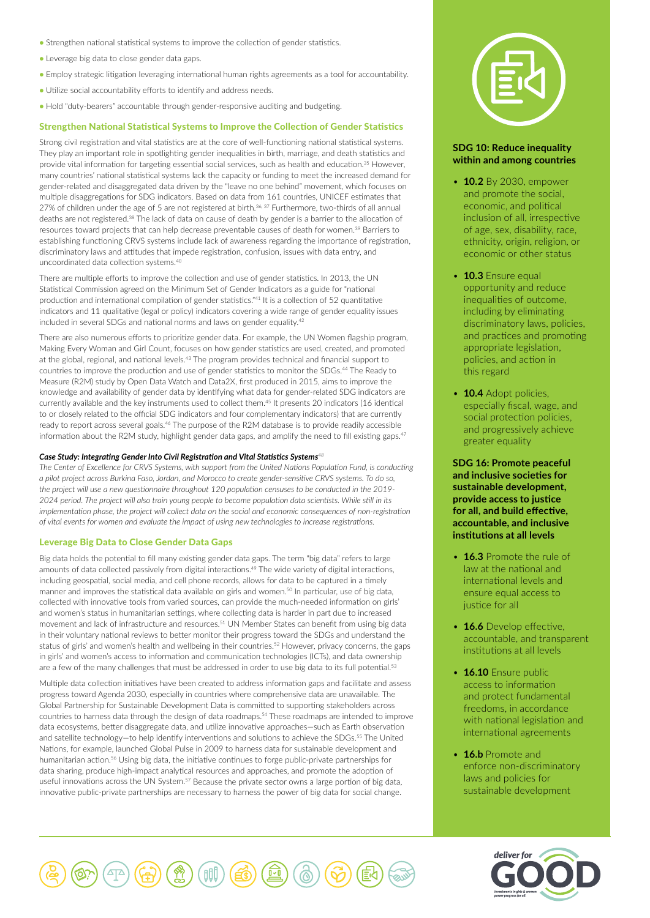- Strengthen national statistical systems to improve the collection of gender statistics.
- Leverage big data to close gender data gaps.
- Employ strategic litigation leveraging international human rights agreements as a tool for accountability.
- Utilize social accountability efforts to identify and address needs.
- Hold "duty-bearers" accountable through gender-responsive auditing and budgeting.

## Strengthen National Statistical Systems to Improve the Collection of Gender Statistics

Strong civil registration and vital statistics are at the core of well-functioning national statistical systems. They play an important role in spotlighting gender inequalities in birth, marriage, and death statistics and provide vital information for targeting essential social services, such as health and education.<sup>35</sup> However, many countries' national statistical systems lack the capacity or funding to meet the increased demand for gender-related and disaggregated data driven by the "leave no one behind" movement, which focuses on multiple disaggregations for SDG indicators. Based on data from 161 countries, UNICEF estimates that 27% of children under the age of 5 are not registered at birth.36, 37 Furthermore, two-thirds of all annual deaths are not registered.38 The lack of data on cause of death by gender is a barrier to the allocation of resources toward projects that can help decrease preventable causes of death for women.<sup>39</sup> Barriers to establishing functioning CRVS systems include lack of awareness regarding the importance of registration, discriminatory laws and attitudes that impede registration, confusion, issues with data entry, and uncoordinated data collection systems.40

There are multiple efforts to improve the collection and use of gender statistics. In 2013, the UN Statistical Commission agreed on the Minimum Set of Gender Indicators as a guide for "national production and international compilation of gender statistics."41 It is a collection of 52 quantitative indicators and 11 qualitative (legal or policy) indicators covering a wide range of gender equality issues included in several SDGs and national norms and laws on gender equality.42

There are also numerous efforts to prioritize gender data. For example, the UN Women flagship program, Making Every Woman and Girl Count, focuses on how gender statistics are used, created, and promoted at the global, regional, and national levels.<sup>43</sup> The program provides technical and financial support to countries to improve the production and use of gender statistics to monitor the SDGs.<sup>44</sup> The Ready to Measure (R2M) study by Open Data Watch and Data2X, first produced in 2015, aims to improve the knowledge and availability of gender data by identifying what data for gender-related SDG indicators are currently available and the key instruments used to collect them.45 It presents 20 indicators (16 identical to or closely related to the official SDG indicators and four complementary indicators) that are currently ready to report across several goals.46 The purpose of the R2M database is to provide readily accessible information about the R2M study, highlight gender data gaps, and amplify the need to fill existing gaps.<sup>47</sup>

#### *Case Study: Integrating Gender Into Civil Registration and Vital Statistics Systems<sup>48</sup>*

*The Center of Excellence for CRVS Systems, with support from the United Nations Population Fund, is conducting a pilot project across Burkina Faso, Jordan, and Morocco to create gender-sensitive CRVS systems. To do so, the project will use a new questionnaire throughout 120 population censuses to be conducted in the 2019- 2024 period. The project will also train young people to become population data scientists. While still in its implementation phase, the project will collect data on the social and economic consequences of non-registration of vital events for women and evaluate the impact of using new technologies to increase registrations.*

## Leverage Big Data to Close Gender Data Gaps

Big data holds the potential to fill many existing gender data gaps. The term "big data" refers to large amounts of data collected passively from digital interactions.49 The wide variety of digital interactions, including geospatial, social media, and cell phone records, allows for data to be captured in a timely manner and improves the statistical data available on girls and women.<sup>50</sup> In particular, use of big data, collected with innovative tools from varied sources, can provide the much-needed information on girls' and women's status in humanitarian settings, where collecting data is harder in part due to increased movement and lack of infrastructure and resources.<sup>51</sup> UN Member States can benefit from using big data in their voluntary national reviews to better monitor their progress toward the SDGs and understand the status of girls' and women's health and wellbeing in their countries.52 However, privacy concerns, the gaps in girls' and women's access to information and communication technologies (ICTs), and data ownership are a few of the many challenges that must be addressed in order to use big data to its full potential.<sup>53</sup>

Multiple data collection initiatives have been created to address information gaps and facilitate and assess progress toward Agenda 2030, especially in countries where comprehensive data are unavailable. The Global Partnership for Sustainable Development Data is committed to supporting stakeholders across countries to harness data through the design of data roadmaps.54 These roadmaps are intended to improve data ecosystems, better disaggregate data, and utilize innovative approaches—such as Earth observation and satellite technology—to help identify interventions and solutions to achieve the SDGs.55 The United Nations, for example, launched Global Pulse in 2009 to harness data for sustainable development and humanitarian action.<sup>56</sup> Using big data, the initiative continues to forge public-private partnerships for data sharing, produce high-impact analytical resources and approaches, and promote the adoption of useful innovations across the UN System.57 Because the private sector owns a large portion of big data, innovative public-private partnerships are necessary to harness the power of big data for social change.



## **SDG 10: Reduce inequality within and among countries**

- **10.2** By 2030, empower and promote the social, economic, and political inclusion of all, irrespective of age, sex, disability, race, ethnicity, origin, religion, or economic or other status
- **10.3** Ensure equal opportunity and reduce inequalities of outcome, including by eliminating discriminatory laws, policies, and practices and promoting appropriate legislation, policies, and action in this regard
- **10.4** Adopt policies, especially fiscal, wage, and social protection policies, and progressively achieve greater equality

**SDG 16: Promote peaceful and inclusive societies for sustainable development, provide access to justice for all, and build effective, accountable, and inclusive institutions at all levels** 

- **16.3** Promote the rule of law at the national and international levels and ensure equal access to justice for all
- **16.6** Develop effective, accountable, and transparent institutions at all levels
- **16.10** Ensure public access to information and protect fundamental freedoms, in accordance with national legislation and international agreements
- **16.b** Promote and enforce non-discriminatory laws and policies for sustainable development



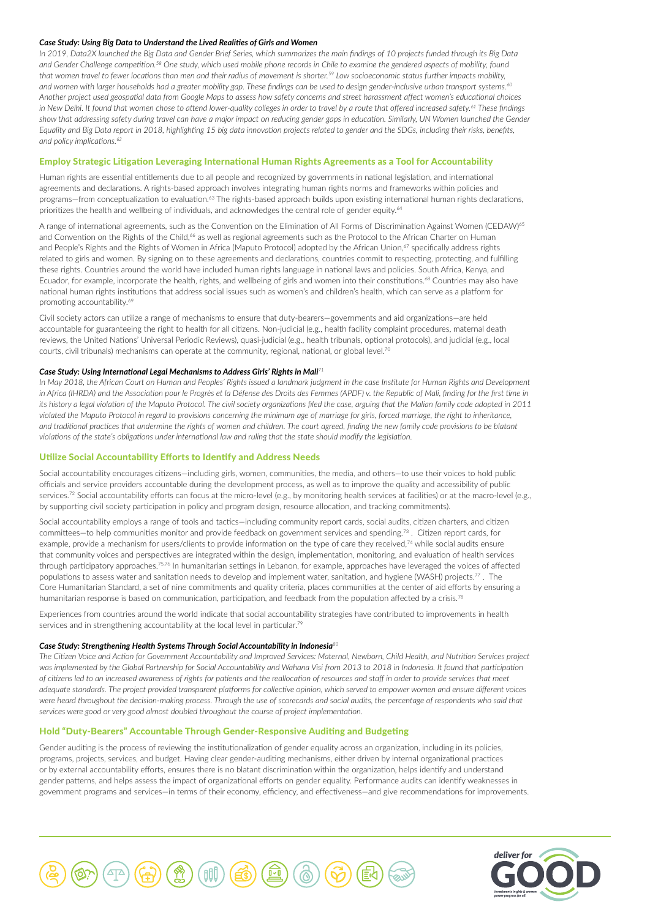#### *Case Study: Using Big Data to Understand the Lived Realities of Girls and Women*

*In 2019, Data2X launched the Big Data and Gender Brief Series, which summarizes the main findings of 10 projects funded through its Big Data and Gender Challenge competition.58 One study, which used mobile phone records in Chile to examine the gendered aspects of mobility, found that women travel to fewer locations than men and their radius of movement is shorter.59 Low socioeconomic status further impacts mobility, and women with larger households had a greater mobility gap. These findings can be used to design gender-inclusive urban transport systems.60 Another project used geospatial data from Google Maps to assess how safety concerns and street harassment affect women's educational choices in New Delhi. It found that women chose to attend lower-quality colleges in order to travel by a route that offered increased safety.61 These findings*  show that addressing safety during travel can have a major impact on reducing gender gaps in education. Similarly, UN Women launched the Gender *Equality and Big Data report in 2018, highlighting 15 big data innovation projects related to gender and the SDGs, including their risks, benefits, and policy implications.62*

## Employ Strategic Litigation Leveraging International Human Rights Agreements as a Tool for Accountability

Human rights are essential entitlements due to all people and recognized by governments in national legislation, and international agreements and declarations. A rights-based approach involves integrating human rights norms and frameworks within policies and programs—from conceptualization to evaluation.63 The rights-based approach builds upon existing international human rights declarations, prioritizes the health and wellbeing of individuals, and acknowledges the central role of gender equity.<sup>64</sup>

A range of international agreements, such as the Convention on the Elimination of All Forms of Discrimination Against Women (CEDAW)<sup>65</sup> and Convention on the Rights of the Child,<sup>66</sup> as well as regional agreements such as the Protocol to the African Charter on Human and People's Rights and the Rights of Women in Africa (Maputo Protocol) adopted by the African Union.<sup>67</sup> specifically address rights related to girls and women. By signing on to these agreements and declarations, countries commit to respecting, protecting, and fulfilling these rights. Countries around the world have included human rights language in national laws and policies. South Africa, Kenya, and Ecuador, for example, incorporate the health, rights, and wellbeing of girls and women into their constitutions.<sup>68</sup> Countries may also have national human rights institutions that address social issues such as women's and children's health, which can serve as a platform for promoting accountability.<sup>69</sup>

Civil society actors can utilize a range of mechanisms to ensure that duty-bearers—governments and aid organizations—are held accountable for guaranteeing the right to health for all citizens. Non-judicial (e.g., health facility complaint procedures, maternal death reviews, the United Nations' Universal Periodic Reviews), quasi-judicial (e.g., health tribunals, optional protocols), and judicial (e.g., local courts, civil tribunals) mechanisms can operate at the community, regional, national, or global level.<sup>70</sup>

#### *Case Study: Using International Legal Mechanisms to Address Girls' Rights in Mali<sup>71</sup>*

In May 2018, the African Court on Human and Peoples' Rights issued a landmark judgment in the case Institute for Human Rights and Development *in Africa (IHRDA) and the Association pour le Progrès et la Défense des Droits des Femmes (APDF) v. the Republic of Mali, finding for the first time in its history a legal violation of the Maputo Protocol. The civil society organizations filed the case, arguing that the Malian family code adopted in 2011 violated the Maputo Protocol in regard to provisions concerning the minimum age of marriage for girls, forced marriage, the right to inheritance,*  and traditional practices that undermine the rights of women and children. The court agreed, finding the new family code provisions to be blatant *violations of the state's obligations under international law and ruling that the state should modify the legislation.*

#### Utilize Social Accountability Efforts to Identify and Address Needs

Social accountability encourages citizens—including girls, women, communities, the media, and others—to use their voices to hold public officials and service providers accountable during the development process, as well as to improve the quality and accessibility of public services.<sup>72</sup> Social accountability efforts can focus at the micro-level (e.g., by monitoring health services at facilities) or at the macro-level (e.g., by supporting civil society participation in policy and program design, resource allocation, and tracking commitments).

Social accountability employs a range of tools and tactics—including community report cards, social audits, citizen charters, and citizen committees—to help communities monitor and provide feedback on government services and spending.73 . Citizen report cards, for example, provide a mechanism for users/clients to provide information on the type of care they received,<sup>74</sup> while social audits ensure that community voices and perspectives are integrated within the design, implementation, monitoring, and evaluation of health services through participatory approaches.75,76 In humanitarian settings in Lebanon, for example, approaches have leveraged the voices of affected populations to assess water and sanitation needs to develop and implement water, sanitation, and hygiene (WASH) projects.<sup>77</sup>. The Core Humanitarian Standard, a set of nine commitments and quality criteria, places communities at the center of aid efforts by ensuring a humanitarian response is based on communication, participation, and feedback from the population affected by a crisis.<sup>78</sup>

Experiences from countries around the world indicate that social accountability strategies have contributed to improvements in health services and in strengthening accountability at the local level in particular.<sup>79</sup>

#### *Case Study: Strengthening Health Systems Through Social Accountability in Indonesia<sup>80</sup>*

*The Citizen Voice and Action for Government Accountability and Improved Services: Maternal, Newborn, Child Health, and Nutrition Services project was implemented by the Global Partnership for Social Accountability and Wahana Visi from 2013 to 2018 in Indonesia. It found that participation of citizens led to an increased awareness of rights for patients and the reallocation of resources and staff in order to provide services that meet adequate standards. The project provided transparent platforms for collective opinion, which served to empower women and ensure different voices were heard throughout the decision-making process. Through the use of scorecards and social audits, the percentage of respondents who said that services were good or very good almost doubled throughout the course of project implementation.*

## Hold "Duty-Bearers" Accountable Through Gender-Responsive Auditing and Budgeting

Gender auditing is the process of reviewing the institutionalization of gender equality across an organization, including in its policies, programs, projects, services, and budget. Having clear gender-auditing mechanisms, either driven by internal organizational practices or by external accountability efforts, ensures there is no blatant discrimination within the organization, helps identify and understand gender patterns, and helps assess the impact of organizational efforts on gender equality. Performance audits can identify weaknesses in government programs and services—in terms of their economy, efficiency, and effectiveness—and give recommendations for improvements.



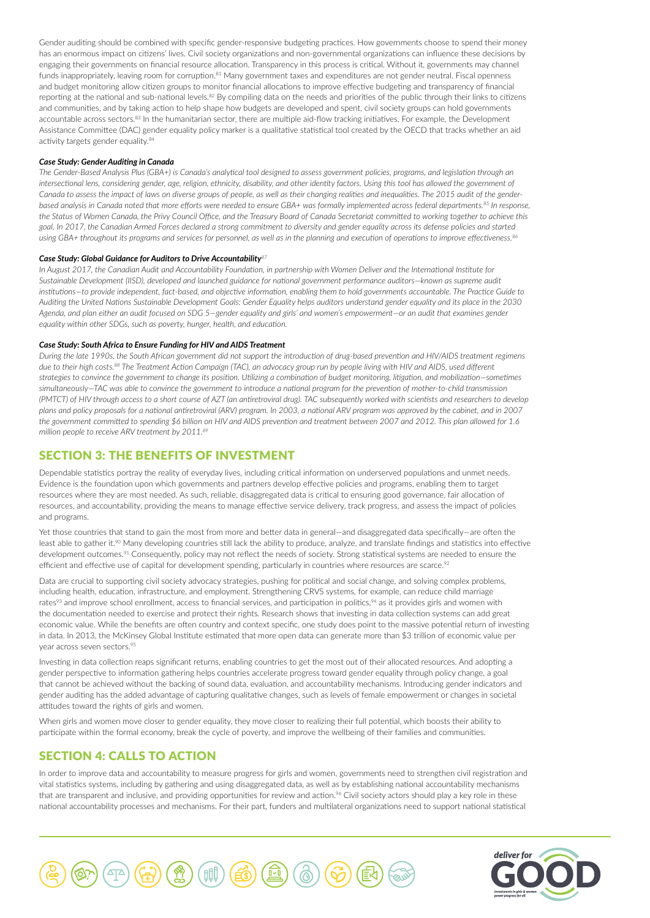Gender auditing should be combined with specific gender-responsive budgeting practices. How governments choose to spend their money has an enormous impact on citizens' lives. Civil society organizations and non-governmental organizations can influence these decisions by engaging their governments on financial resource allocation. Transparency in this process is critical. Without it, governments may channel funds inappropriately, leaving room for corruption.<sup>81</sup> Many government taxes and expenditures are not gender neutral. Fiscal openness and budget monitoring allow citizen groups to monitor financial allocations to improve effective budgeting and transparency of financial reporting at the national and sub-national levels.<sup>82</sup> By compiling data on the needs and priorities of the public through their links to citizens and communities, and by taking action to help shape how budgets are developed and spent, civil society groups can hold governments accountable across sectors.<sup>83</sup> In the humanitarian sector, there are multiple aid-flow tracking initiatives. For example, the Development Assistance Committee (DAC) gender equality policy marker is a qualitative statistical tool created by the OECD that tracks whether an aid activity targets gender equality.<sup>84</sup>

#### *Case Study: Gender Auditing in Canada*

*The Gender-Based Analysis Plus (GBA+) is Canada's analytical tool designed to assess government policies, programs, and legislation through an intersectional lens, considering gender, age, religion, ethnicity, disability, and other identity factors. Using this tool has allowed the government of Canada to assess the impact of laws on diverse groups of people, as well as their changing realities and inequalities. The 2015 audit of the genderbased analysis in Canada noted that more efforts were needed to ensure GBA+ was formally implemented across federal departments.85 In response, the Status of Women Canada, the Privy Council Office, and the Treasury Board of Canada Secretariat committed to working together to achieve this goal. In 2017, the Canadian Armed Forces declared a strong commitment to diversity and gender equality across its defense policies and started using GBA+ throughout its programs and services for personnel, as well as in the planning and execution of operations to improve effectiveness.<sup>86</sup>*

#### *Case Study: Global Guidance for Auditors to Drive Accountability<sup>87</sup>*

*In August 2017, the Canadian Audit and Accountability Foundation, in partnership with Women Deliver and the International Institute for Sustainable Development (IISD), developed and launched guidance for national government performance auditors—known as supreme audit institutions—to provide independent, fact-based, and objective information, enabling them to hold governments accountable. The Practice Guide to Auditing the United Nations Sustainable Development Goals: Gender Equality helps auditors understand gender equality and its place in the 2030 Agenda, and plan either an audit focused on SDG 5—gender equality and girls' and women's empowerment—or an audit that examines gender equality within other SDGs, such as poverty, hunger, health, and education.*

#### *Case Study: South Africa to Ensure Funding for HIV and AIDS Treatment*

*During the late 1990s, the South African government did not support the introduction of drug-based prevention and HIV/AIDS treatment regimens due to their high costs.88 The Treatment Action Campaign (TAC), an advocacy group run by people living with HIV and AIDS, used different strategies to convince the government to change its position. Utilizing a combination of budget monitoring, litigation, and mobilization—sometimes simultaneously—TAC was able to convince the government to introduce a national program for the prevention of mother-to-child transmission (PMTCT) of HIV through access to a short course of AZT (an antiretroviral drug). TAC subsequently worked with scientists and researchers to develop plans and policy proposals for a national antiretroviral (ARV) program. In 2003, a national ARV program was approved by the cabinet, and in 2007 the government committed to spending \$6 billion on HIV and AIDS prevention and treatment between 2007 and 2012. This plan allowed for 1.6 million people to receive ARV treatment by 2011.89*

# SECTION 3: THE BENEFITS OF INVESTMENT

Dependable statistics portray the reality of everyday lives, including critical information on underserved populations and unmet needs. Evidence is the foundation upon which governments and partners develop effective policies and programs, enabling them to target resources where they are most needed. As such, reliable, disaggregated data is critical to ensuring good governance, fair allocation of resources, and accountability, providing the means to manage effective service delivery, track progress, and assess the impact of policies and programs.

Yet those countries that stand to gain the most from more and better data in general—and disaggregated data specifically—are often the least able to gather it.<sup>90</sup> Many developing countries still lack the ability to produce, analyze, and translate findings and statistics into effective development outcomes.<sup>91</sup> Consequently, policy may not reflect the needs of society. Strong statistical systems are needed to ensure the efficient and effective use of capital for development spending, particularly in countries where resources are scarce.<sup>92</sup>

Data are crucial to supporting civil society advocacy strategies, pushing for political and social change, and solving complex problems, including health, education, infrastructure, and employment. Strengthening CRVS systems, for example, can reduce child marriage rates<sup>93</sup> and improve school enrollment, access to financial services, and participation in politics,<sup>94</sup> as it provides girls and women with the documentation needed to exercise and protect their rights. Research shows that investing in data collection systems can add great economic value. While the benefits are often country and context specific, one study does point to the massive potential return of investing in data. In 2013, the McKinsey Global Institute estimated that more open data can generate more than \$3 trillion of economic value per year across seven sectors.<sup>95</sup>

Investing in data collection reaps significant returns, enabling countries to get the most out of their allocated resources. And adopting a gender perspective to information gathering helps countries accelerate progress toward gender equality through policy change, a goal that cannot be achieved without the backing of sound data, evaluation, and accountability mechanisms. Introducing gender indicators and gender auditing has the added advantage of capturing qualitative changes, such as levels of female empowerment or changes in societal attitudes toward the rights of girls and women.

When girls and women move closer to gender equality, they move closer to realizing their full potential, which boosts their ability to participate within the formal economy, break the cycle of poverty, and improve the wellbeing of their families and communities.

# SECTION 4: CALLS TO ACTION

In order to improve data and accountability to measure progress for girls and women, governments need to strengthen civil registration and vital statistics systems, including by gathering and using disaggregated data, as well as by establishing national accountability mechanisms that are transparent and inclusive, and providing opportunities for review and action.<sup>96</sup> Civil society actors should play a key role in these national accountability processes and mechanisms. For their part, funders and multilateral organizations need to support national statistical



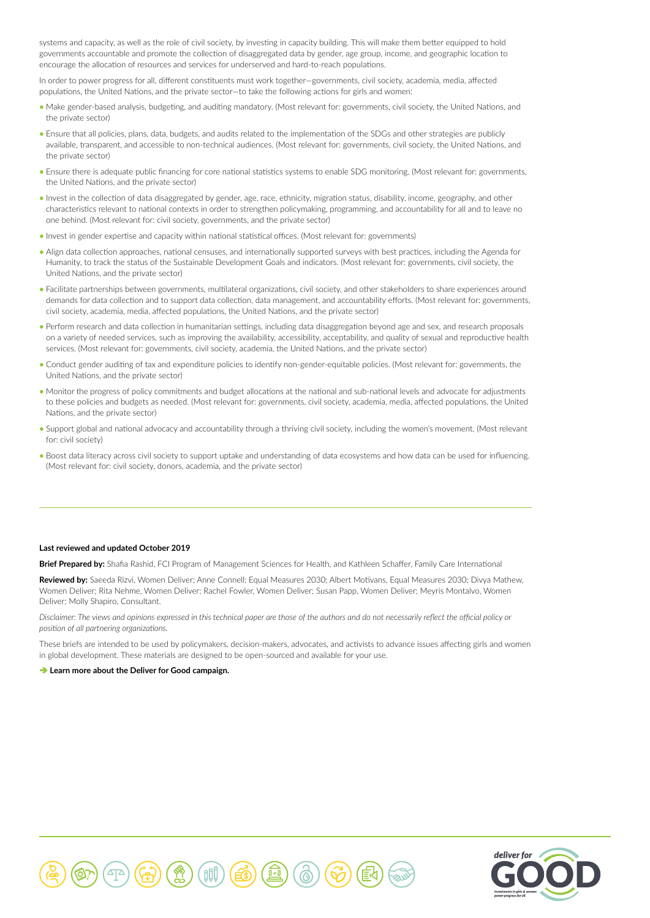systems and capacity, as well as the role of civil society, by investing in capacity building. This will make them better equipped to hold governments accountable and promote the collection of disaggregated data by gender, age group, income, and geographic location to encourage the allocation of resources and services for underserved and hard-to-reach populations.

In order to power progress for all, different constituents must work together—governments, civil society, academia, media, affected populations, the United Nations, and the private sector—to take the following actions for girls and women:

- Make gender-based analysis, budgeting, and auditing mandatory. (Most relevant for: governments, civil society, the United Nations, and the private sector)
- Ensure that all policies, plans, data, budgets, and audits related to the implementation of the SDGs and other strategies are publicly available, transparent, and accessible to non-technical audiences. (Most relevant for: governments, civil society, the United Nations, and the private sector)
- Ensure there is adequate public financing for core national statistics systems to enable SDG monitoring. (Most relevant for: governments, the United Nations, and the private sector)
- Invest in the collection of data disaggregated by gender, age, race, ethnicity, migration status, disability, income, geography, and other characteristics relevant to national contexts in order to strengthen policymaking, programming, and accountability for all and to leave no one behind. (Most relevant for: civil society, governments, and the private sector)
- Invest in gender expertise and capacity within national statistical offices. (Most relevant for: governments)
- Align data collection approaches, national censuses, and internationally supported surveys with best practices, including the Agenda for Humanity, to track the status of the Sustainable Development Goals and indicators. (Most relevant for: governments, civil society, the United Nations, and the private sector)
- Facilitate partnerships between governments, multilateral organizations, civil society, and other stakeholders to share experiences around demands for data collection and to support data collection, data management, and accountability efforts. (Most relevant for: governments, civil society, academia, media, affected populations, the United Nations, and the private sector)
- Perform research and data collection in humanitarian settings, including data disaggregation beyond age and sex, and research proposals on a variety of needed services, such as improving the availability, accessibility, acceptability, and quality of sexual and reproductive health services. (Most relevant for: governments, civil society, academia, the United Nations, and the private sector)
- Conduct gender auditing of tax and expenditure policies to identify non-gender-equitable policies. (Most relevant for: governments, the United Nations, and the private sector)
- Monitor the progress of policy commitments and budget allocations at the national and sub-national levels and advocate for adjustments to these policies and budgets as needed. (Most relevant for: governments, civil society, academia, media, affected populations, the United Nations, and the private sector)
- Support global and national advocacy and accountability through a thriving civil society, including the women's movement. (Most relevant for: civil society)
- Boost data literacy across civil society to support uptake and understanding of data ecosystems and how data can be used for influencing. (Most relevant for: civil society, donors, academia, and the private sector)

#### **Last reviewed and updated October 2019**

**Brief Prepared by:** Shafia Rashid, FCI Program of Management Sciences for Health, and Kathleen Schaffer, Family Care International

**Reviewed by:** Saeeda Rizvi, Women Deliver; Anne Connell; Equal Measures 2030; Albert Motivans, Equal Measures 2030; Divya Mathew, Women Deliver; Rita Nehme, Women Deliver; Rachel Fowler, Women Deliver; Susan Papp, Women Deliver; Meyris Montalvo, Women Deliver; Molly Shapiro, Consultant.

*Disclaimer: The views and opinions expressed in this technical paper are those of the authors and do not necessarily reflect the official policy or position of all partnering organizations.*

These briefs are intended to be used by policymakers, decision-makers, advocates, and activists to advance issues affecting girls and women in global development. These materials are designed to be open-sourced and available for your use.

#### **■ [Learn more about the Deliver for Good campaign.](http://www.deliverforgood.org/)**



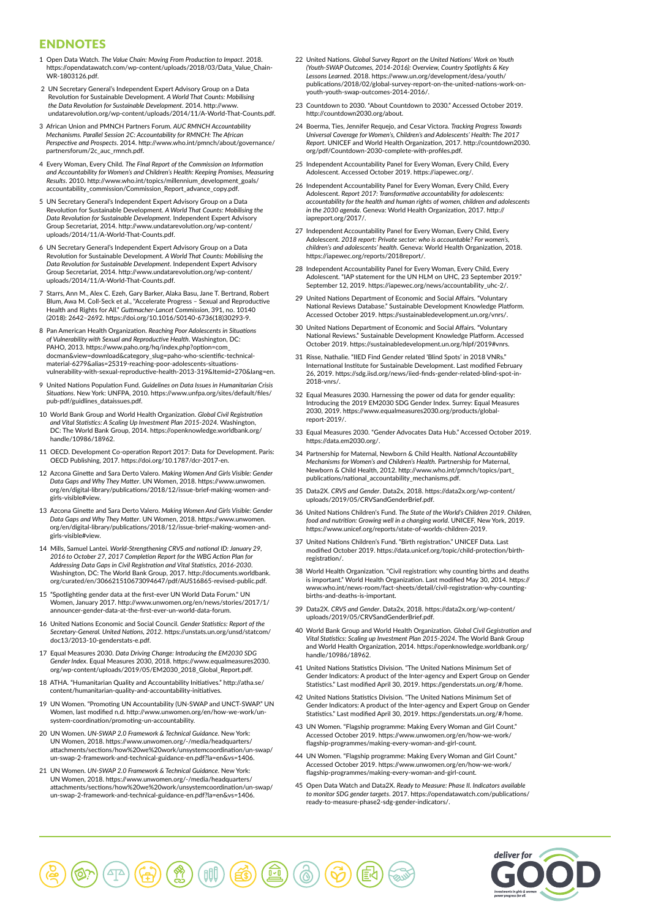# ENDNOTES

- 1 Open Data Watch. *The Value Chain: Moving From Production to Impact*. 2018. https://opendatawatch.com/wp-content/uploads/2018/03/Data\_Value\_Chain-WR-1803126.pdf.
- 2 UN Secretary General's Independent Expert Advisory Group on a Data Revolution for Sustainable Development. *A World That Counts: Mobilising the Data Revolution for Sustainable Development*. 2014. http://www. undatarevolution.org/wp-content/uploads/2014/11/A-World-That-Counts.pdf.
- 3 African Union and PMNCH Partners Forum. *AUC RMNCH Accountability Mechanisms. Parallel Session 2C: Accountability for RMNCH: The African Perspective and Prospects*. 2014. http://www.who.int/pmnch/about/governance/ partnersforum/2c\_auc\_rmnch.pdf.
- 4 Every Woman, Every Child. *The Final Report of the Commission on Information and Accountability for Women's and Children's Health: Keeping Promises, Measuring Results*. 2010. http://www.who.int/topics/millennium\_development\_goals/ accountability\_commission/Commission\_Report\_advance\_copy.pdf.
- 5 UN Secretary General's Independent Expert Advisory Group on a Data Revolution for Sustainable Development. *A World That Counts: Mobilising the Data Revolution for Sustainable Development*. Independent Expert Advisor Group Secretariat, 2014. http://www.undatarevolution.org/wp-content/ uploads/2014/11/A-World-That-Counts.pdf.
- 6 UN Secretary General's Independent Expert Advisory Group on a Data Revolution for Sustainable Development. *A World That Counts: Mobilising the Data Revolution for Sustainable Development*. Independent Expert Advisory Group Secretariat, 2014. http://www.undatarevolution.org/wp-content/ uploads/2014/11/A-World-That-Counts.pdf.
- 7 Starrs, Ann M., Alex C. Ezeh, Gary Barker, Alaka Basu, Jane T. Bertrand, Robert Blum, Awa M. Coll-Seck et al., "Accelerate Progress – Sexual and Reproductive Health and Rights for All." *Guttmacher-Lancet Commission*, 391, no. 10140 (2018): 2642–2692. https://doi.org/10.1016/S0140-6736(18)30293-9.
- 8 Pan American Health Organization. *Reaching Poor Adolescents in Situations of Vulnerability with Sexual and Reproductive Health*. Washington, DC: PAHO, 2013. https://www.paho.org/hq/index.php?option=com\_ docman&view=download&category\_slug=paho-who-scientific-technicalmaterial-6279&alias=25319-reaching-poor-adolescents-situationsvulnerability-with-sexual-reproductive-health-2013-319&Itemid=270&lang=en.
- 9 United Nations Population Fund. *Guidelines on Data Issues in Humanitarian Crisis Situations*. New York: UNFPA, 2010. https://www.unfpa.org/sites/default/files/ pub-pdf/guidlines\_dataissues.pdf.
- 10 World Bank Group and World Health Organization. *Global Civil Registration and Vital Statistics: A Scaling Up Investment Plan 2015-2024*. Washington, DC: The World Bank Group, 2014. https://openknowledge.worldbank.org/ handle/10986/18962.
- 11 OECD. Development Co-operation Report 2017: Data for Development. Paris: OECD Publishing, 2017. https://doi.org/10.1787/dcr-2017-en.
- 12 Azcona Ginette and Sara Derto Valero. *Making Women And Girls Visible: Gender Data Gaps and Why They Matter*. UN Women, 2018. https://www.unwomen. org/en/digital-library/publications/2018/12/issue-brief-making-women-andgirls-visible#view.
- 13 Azcona Ginette and Sara Derto Valero. *Making Women And Girls Visible: Gender Data Gaps and Why They Matter*. UN Women, 2018. https://www.unwomen. org/en/digital-library/publications/2018/12/issue-brief-making-women-andgirls-visible#view.
- 14 Mills, Samuel Lantei. *World-Strengthening CRVS and national ID: January 29, 2016 to October 27, 2017 Completion Report for the WBG Action Plan for Addressing Data Gaps in Civil Registration and Vital Statistics, 2016-2030*. Washington, DC: The World Bank Group, 2017. http://documents.worldbank. org/curated/en/306621510673094647/pdf/AUS16865-revised-public.pdf.
- 15 "Spotlighting gender data at the first-ever UN World Data Forum." UN Women, January 2017. http://www.unwomen.org/en/news/stories/2017/1/ announcer-gender-data-at-the-first-ever-un-world-data-forum.
- 16 United Nations Economic and Social Council. *Gender Statistics: Report of the Secretary-General. United Nations, 2012*. https://unstats.un.org/unsd/statcom/ doc13/2013-10-genderstats-e.pdf.
- 17 Equal Measures 2030. *Data Driving Change: Introducing the EM2030 SDG Gender Index*. Equal Measures 2030, 2018. https://www.equalmeasures2030. org/wp-content/uploads/2019/05/EM2030\_2018\_Global\_Report.pdf.
- 18 ATHA. "Humanitarian Quality and Accountability Initiatives." http://atha.se/ content/humanitarian-quality-and-accountability-initiatives.
- 19 UN Women. "Promoting UN Accountability (UN-SWAP and UNCT-SWAP." UN Women, last modified n.d. http://www.unwomen.org/en/how-we-work/unsystem-coordination/promoting-un-accountability.
- 20 UN Women. *UN-SWAP 2.0 Framework & Technical Guidance*. New York: UN Women, 2018. https://www.unwomen.org/-/media/headquarters/ attachments/sections/how%20we%20work/unsystemcoordination/un-swap/ un-swap-2-framework-and-technical-guidance-en.pdf?la=en&vs=1406.
- 21 UN Women. *UN-SWAP 2.0 Framework & Technical Guidance*. New York: UN Women, 2018. https://www.unwomen.org/-/media/headquarters/ attachments/sections/how%20we%20work/unsystemcoordination/un-swap/ un-swap-2-framework-and-technical-guidance-en.pdf?la=en&vs=1406.
- 22 United Nations. *Global Survey Report on the United Nations' Work on Youth (Youth-SWAP Outcomes, 2014-2016): Overview, Country Spotlights & Key Lessons Learned*. 2018. https://www.un.org/development/desa/youth/ publications/2018/02/global-survey-report-on-the-united-nations-work-onyouth-youth-swap-outcomes-2014-2016/.
- 23 Countdown to 2030. "About Countdown to 2030." Accessed October 2019. http://countdown2030.org/about.
- 24 Boerma, Ties, Jennifer Requejo, and Cesar Victora. *Tracking Progress Towards Universal Coverage for Women's, Children's and Adolescents' Health: The 2017 Report*. UNICEF and World Health Organization, 2017. http://countdown2030. org/pdf/Countdown-2030-complete-with-profiles.pdf.
- 25 Independent Accountability Panel for Every Woman, Every Child, Every Adolescent. Accessed October 2019. https://iapewec.org/.
- 26 Independent Accountability Panel for Every Woman, Every Child, Every Adolescent. *Report 2017: Transformative accountability for adolescents: accountability for the health and human rights of women, children and adolescents in the 2030 agenda*. Geneva: World Health Organization, 2017. http:// iapreport.org/2017/.
- 27 Independent Accountability Panel for Every Woman, Every Child, Every Adolescent. 2018 report: Private sector: who is accountable? For women's *children's and adolescents' health*. Geneva: World Health Organization, 2018. https://iapewec.org/reports/2018report/.
- 28 Independent Accountability Panel for Every Woman, Every Child, Every Adolescent. "IAP statement for the UN HLM on UHC, 23 September 2019." September 12, 2019. https://japewec.org/news/accountability\_uhc-2/.
- 29 United Nations Department of Economic and Social Affairs. "Voluntary National Reviews Database." Sustainable Development Knowledge Platform. Accessed October 2019. https://sustainabledevelopment.un.org/vnrs/.
- 30 United Nations Department of Economic and Social Affairs. "Voluntary National Reviews." Sustainable Development Knowledge Platform. Accessed October 2019. https://sustainabledevelopment.un.org/hlpf/2019#vnrs.
- 31 Risse, Nathalie. "IIED Find Gender related 'Blind Spots' in 2018 VNRs." International Institute for Sustainable Development. Last modified February 26, 2019. https://sdg.iisd.org/news/iied-finds-gender-related-blind-spot-in-2018-vnrs/.
- 32 Equal Measures 2030. Harnessing the power od data for gender equality: Introducing the 2019 EM2030 SDG Gender Index. Surrey: Equal Measures 2030, 2019. https://www.equalmeasures2030.org/products/globalreport-2019/.
- 33 Equal Measures 2030. "Gender Advocates Data Hub." Accessed October 2019. https://data.em2030.org/.
- 34 Partnership for Maternal, Newborn & Child Health. *National Accountability Mechanisms for Women's and Children's Health*. Partnership for Maternal, Newborn & Child Health, 2012. http://www.who.int/pmnch/topics/part\_ publications/national\_accountability\_mechanisms.pdf.
- 35 Data2X. *CRVS and Gender*. Data2x, 2018. https://data2x.org/wp-content/ uploads/2019/05/CRVSandGenderBrief.pdf.
- 36 United Nations Children's Fund. *The State of the World's Children 2019. Children, food and nutrition: Growing well in a changing world*. UNICEF, New York, 2019. https://www.unicef.org/reports/state-of-worlds-children-2019.
- 37 United Nations Children's Fund. "Birth registration." UNICEF Data. Last modified October 2019. https://data.unicef.org/topic/child-protection/birthregistration/.
- 38 World Health Organization. "Civil registration: why counting births and deaths is important." World Health Organization. Last modified May 30, 2014. https:// www.who.int/news-room/fact-sheets/detail/civil-registration-why-countingbirths-and-deaths-is-important.
- 39 Data2X. *CRVS and Gender*. Data2x, 2018. https://data2x.org/wp-content/ uploads/2019/05/CRVSandGenderBrief.pdf.
- 40 World Bank Group and World Health Organization. *Global Civil Gegistration and Vital Statistics: Scaling up Investment Plan 2015-2024*. The World Bank Group and World Health Organization, 2014. https://openknowledge.worldbank.org/ handle/10986/18962.
- 41 United Nations Statistics Division. "The United Nations Minimum Set of Gender Indicators: A product of the Inter-agency and Expert Group on Gender Statistics." Last modified April 30, 2019. https://genderstats.un.org/#/home.
- 42 United Nations Statistics Division. "The United Nations Minimum Set of Gender Indicators: A product of the Inter-agency and Expert Group on Gender Statistics." Last modified April 30, 2019. https://genderstats.un.org/#/home.
- 43 UN Women. "Flagship programme: Making Every Woman and Girl Count." Accessed October 2019. https://www.unwomen.org/en/how-we-work/ flagship-programmes/making-every-woman-and-girl-count.
- 44 UN Women. "Flagship programme: Making Every Woman and Girl Count." Accessed October 2019. https://www.unwomen.org/en/how-we-work/ flagship-programmes/making-every-woman-and-girl-count.
- 45 Open Data Watch and Data2X. *Ready to Measure: Phase II. Indicators available to monitor SDG gender targets*. 2017. https://opendatawatch.com/publications/ ready-to-measure-phase2-sdg-gender-indicators/.



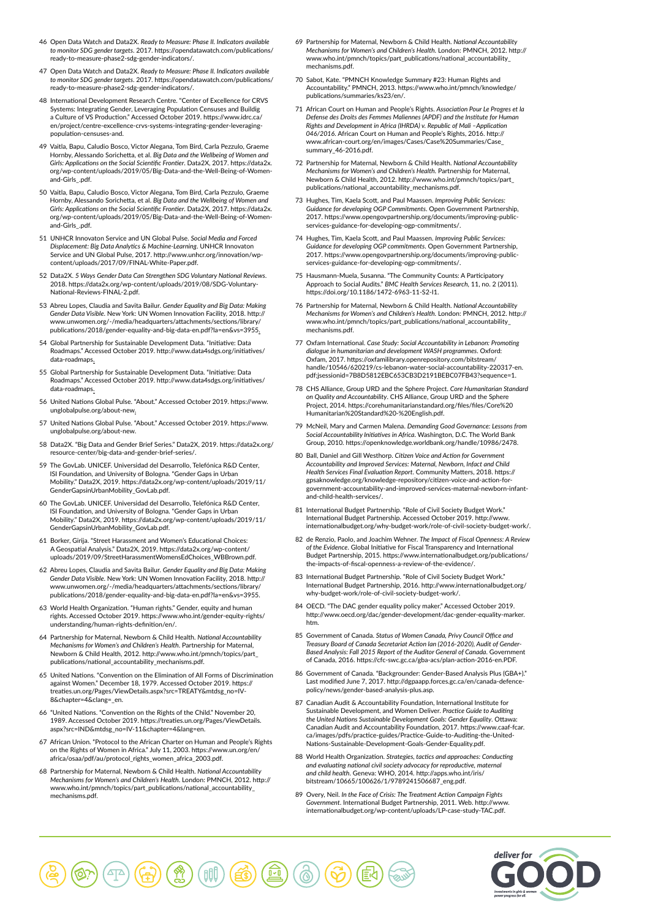- 46 Open Data Watch and Data2X. *Ready to Measure: Phase II. Indicators available to monitor SDG gender targets*. 2017. https://opendatawatch.com/publications/ ready-to-measure-phase2-sdg-gender-indicators/.
- 47 Open Data Watch and Data2X. *Ready to Measure: Phase II. Indicators available to monitor SDG gender targets*. 2017. https://opendatawatch.com/publications/ ready-to-measure-phase2-sdg-gender-indicators/.
- 48 International Development Research Centre. "Center of Excellence for CRVS Systems: Integrating Gender, Leveraging Population Censuses and Buildig a Culture of VS Production." Accessed October 2019. https://www.idrc.ca/ en/project/centre-excellence-crvs-systems-integrating-gender-leveragingpopulation-censuses-and.
- 49 Vaitla, Bapu, Caludio Bosco, Victor Alegana, Tom Bird, Carla Pezzulo, Graeme Hornby, Alessando Sorichetta, et al. *Big Data and the Wellbeing of Women and Girls: Applications on the Social Scientific Frontier*. Data2X, 2017. https://data2x. org/wp-content/uploads/2019/05/Big-Data-and-the-Well-Being-of-Womenand-Girls\_.pdf.
- 50 Vaitla, Bapu, Caludio Bosco, Victor Alegana, Tom Bird, Carla Pezzulo, Graeme Hornby, Alessando Sorichetta, et al. *Big Data and the Wellbeing of Women and Girls: Applications on the Social Scientific Frontier*. Data2X, 2017. https://data2x. org/wp-content/uploads/2019/05/Big-Data-and-the-Well-Being-of-Womenand-Girls\_.pdf.
- 51 UNHCR Innovaton Service and UN Global Pulse. *Social Media and Forced Displacement: Big Data Analytics & Machine-Learning*. UNHCR Innovaton Service and UN Global Pulse, 2017. http://www.unhcr.org/innovation/wpcontent/uploads/2017/09/FINAL-White-Paper.pdf.
- 52 Data2X. *5 Ways Gender Data Can Strengthen SDG Voluntary National Reviews*. 2018. https://data2x.org/wp-content/uploads/2019/08/SDG-Voluntary-National-Reviews-FINAL-2.pdf.
- 53 Abreu Lopes, Claudia and Savita Bailur. *Gender Equality and Big Data: Making Gender Data Visible*. New York: UN Women Innovation Facility, 2018. http:// www.unwomen.org/-/media/headquarters/attachments/sections/library/ publications/2018/gender-equality-and-big-data-en.pdf?la=en&vs=3955.
- 54 Global Partnership for Sustainable Development Data. "Initiative: Data Roadmaps." Accessed October 2019. http://www.data4sdgs.org/initiatives/ data-roadmaps.
- 55 Global Partnership for Sustainable Development Data. "Initiative: Data Roadmaps." Accessed October 2019. http://www.data4sdgs.org/initiatives/ data-roadmaps.
- 56 United Nations Global Pulse. "About." Accessed October 2019. https://www. unglobalpulse.org/about-new.
- 57 United Nations Global Pulse. "About." Accessed October 2019. https://www. unglobalpulse.org/about-new.
- 58 Data2X. "Big Data and Gender Brief Series." Data2X, 2019. https://data2x.org/ hter/big-data-and-gender-brief-series,
- 59 The GovLab. UNICEF. Universidad del Desarrollo, Telefónica R&D Center, ISI Foundation, and University of Bologna. "Gender Gaps in Urban Mobility." Data2X, 2019. https://data2x.org/wp-content/uploads/2019/11/ GenderGapsinUrbanMobility\_GovLab.pdf.
- 60 The GovLab. UNICEF. Universidad del Desarrollo, Telefónica R&D Center, ISI Foundation, and University of Bologna. "Gender Gaps in Urban Mobility." Data2X, 2019. https://data2x.org/wp-content/uploads/2019/11/ GenderGapsinUrbanMobility\_GovLab.pdf.
- 61 Borker, Girija. "Street Harassment and Women's Educational Choices: A Geospatial Analysis." Data2X, 2019. https://data2x.org/wp-content/ uploads/2019/09/StreetHarassmentWomensEdChoices\_WBBrown.pdf.
- 62 Abreu Lopes, Claudia and Savita Bailur. *Gender Equality and Big Data: Making Gender Data Visible*. New York: UN Women Innovation Facility, 2018. http:// www.unwomen.org/-/media/headquarters/attachments/sections/library/ publications/2018/gender-equality-and-big-data-en.pdf?la=en&vs=3955.
- 63 World Health Organization. "Human rights." Gender, equity and human rights. Accessed October 2019. https://www.who.int/gender-equity-rights/ understanding/human-rights-definition/en/.
- 64 Partnership for Maternal, Newborn & Child Health. *National Accountability Mechanisms for Women's and Children's Health*. Partnership for Maternal, Newborn & Child Health, 2012. http://www.who.int/pmnch/topics/part\_ publications/national\_accountability\_mechanisms.pdf.
- 65 United Nations. "Convention on the Elimination of All Forms of Discrimination against Women." December 18, 1979. Accessed October 2019. https:// treaties.un.org/Pages/ViewDetails.aspx?src=TREATY&mtdsg\_no=IV-8&chapter=4&clang=\_en.
- 66 "United Nations. "Convention on the Rights of the Child." November 20, 1989. Accessed October 2019. https://treaties.un.org/Pages/ViewDetails. aspx?src=IND&mtdsg\_no=IV-11&chapter=4&lang=en.
- 67 African Union. "Protocol to the African Charter on Human and People's Rights on the Rights of Women in Africa." July 11, 2003. https://www.un.org/en/ africa/osaa/pdf/au/protocol\_rights\_women\_africa\_2003.pdf.
- 68 Partnership for Maternal, Newborn & Child Health. *National Accountability Mechanisms for Women's and Children's Health*. London: PMNCH, 2012. http:// www.who.int/pmnch/topics/part\_publications/national\_accountability\_ mechanisms.pdf.
- 69 Partnership for Maternal, Newborn & Child Health. *National Accountability Mechanisms for Women's and Children's Health*. London: PMNCH, 2012. http:// www.who.int/pmnch/topics/part\_publications/national\_accountability\_ mechanisms.pdf.
- 70 Sabot, Kate. "PMNCH Knowledge Summary #23: Human Rights and Accountability." PMNCH, 2013. https://www.who.int/pmnch/knowledge/ publications/summaries/ks23/en/.
- 71 African Court on Human and People's Rights. *Association Pour Le Progres et la Defense des Droits des Femmes Maliennes (APDF) and the Institute for Human Rights and Development in Africa (IHRDA) v. Republic of Mali –Application 046/2016*. African Court on Human and People's Rights, 2016. http:// www.african-court.org/en/images/Cases/Case%20Summaries/Case\_ summary\_46-2016.pdf.
- 72 Partnership for Maternal, Newborn & Child Health. *National Accountability Mechanisms for Women's and Children's Health*. Partnership for Maternal, Newborn & Child Health, 2012. http://www.who.int/pmnch/topics/part\_ publications/national\_accountability\_mechanisms.pdf.
- 73 Hughes, Tim, Kaela Scott, and Paul Maassen. *Improving Public Services: Guidance for developing OGP Commitments*. Open Government Partnership, 2017. https://www.opengovpartnership.org/documents/improving-publicservices-guidance-for-developing-ogp-commitments/.
- 74 Hughes, Tim, Kaela Scott, and Paul Maassen. *Improving Public Services: Guidance for developing OGP commitments*. Open Government Partnership, 2017. https://www.opengovpartnership.org/documents/improving-publics-guidance-for-developing-ogp-commitments/
- 75 Hausmann-Muela, Susanna. "The Community Counts: A Participatory Approach to Social Audits." *BMC Health Services Research*, 11, no. 2 (2011). https://doi.org/10.1186/1472-6963-11-S2-I1.
- 76 Partnership for Maternal, Newborn & Child Health. *National Accountability Mechanisms for Women's and Children's Health*. London: PMNCH, 2012. http:// www.who.int/pmnch/topics/part\_publications/national\_accountability\_ mechanisms.pdf.
- 77 Oxfam International. *Case Study: Social Accountability in Lebanon: Promoting dialogue in humanitarian and development WASH programmes*. Oxford: Oxfam, 2017. https://oxfamilibrary.openrepository.com/bitstream/ handle/10546/620219/cs-lebanon-water-social-accountability-220317-en. pdf;jsessionid=7B8D5812EBC653CB3D2191BEBC07FB43?sequence=1.
- 78 CHS Alliance, Group URD and the Sphere Project. *Core Humanitarian Standard on Quality and Accountability*. CHS Alliance, Group URD and the Sphere Project, 2014. https://corehumanitarianstandard.org/files/files/Core%20 Humanitarian%20Standard%20-%20English.pdf.
- 79 McNeil, Mary and Carmen Malena. *Demanding Good Governance: Lessons from Social Accountability Initiatives in Africa*. Washington, D.C. The World Bank Group, 2010. https://openknowledge.worldbank.org/handle/10986/2478.
- 80 Ball, Daniel and Gill Westhorp. *Citizen Voice and Action for Government Accountability and Improved Services: Maternal, Newborn, Infact and Child Health Services Final Evaluation Report*. Community Matters, 2018. https:// gpsaknowledge.org/knowledge-repository/citizen-voice-and-action-forgovernment-accountability-and-improved-services-maternal-newborn-infantand-child-health-services/.
- 81 International Budget Partnership. "Role of Civil Society Budget Work." International Budget Partnership. Accessed October 2019. http://www. internationalbudget.org/why-budget-work/role-of-civil-society-budget-wo
- 82 de Renzio, Paolo, and Joachim Wehner. *The Impact of Fiscal Openness: A Review of the Evidence*. Global Initiative for Fiscal Transparency and International Budget Partnership, 2015. https://www.internationalbudget.org/publications/ the-impacts-of-fiscal-openness-a-review-of-the-evidence/.
- 83 International Budget Partnership. "Role of Civil Society Budget Work." International Budget Partnership, 2016. http://www.internationalbudget.org/ why-budget-work/role-of-civil-society-budget-work/.
- 84 OECD. "The DAC gender equality policy maker." Accessed October 2019. http://www.oecd.org/dac/gender-development/dac-gender-equality-marker. htm.
- 85 Government of Canada. *Status of Women Canada, Privy Council Office and Treasury Board of Canada Secretariat Action lan (2016-2020), Audit of Gender-Based Analysis: Fall 2015 Report of the Auditor General of Canada*. Government of Canada, 2016. https://cfc-swc.gc.ca/gba-acs/plan-action-2016-en.PDF.
- 86 Government of Canada. "Backgrounder: Gender-Based Analysis Plus (GBA+)." Last modified June 7, 2017. http://dgpaapp.forces.gc.ca/en/canada-defencepolicy/news/gender-based-analysis-plus.asp.
- 87 Canadian Audit & Accountability Foundation, International Institute for Sustainable Development, and Women Deliver. *Practice Guide to Auditing the United Nations Sustainable Development Goals: Gender Equality*. Ottawa: Canadian Audit and Accountability Foundation, 2017. https://www.caaf-fcar. ca/images/pdfs/practice-guides/Practice-Guide-to-Auditing-the-United-Nations-Sustainable-Development-Goals-Gender-Equality.pdf.
- 88 World Health Organization. *Strategies, tactics and approaches: Conducting and evaluating national civil society advocacy for reproductive, maternal and child health*. Geneva: WHO, 2014. http://apps.who.int/iris/ bitstream/10665/100626/1/9789241506687\_eng.pdf.
- 89 Overy, Neil. *In the Face of Crisis: The Treatment Action Campaign Fights Government*. International Budget Partnership, 2011. Web. http://www. internationalbudget.org/wp-content/uploads/LP-case-study-TAC.pdf.